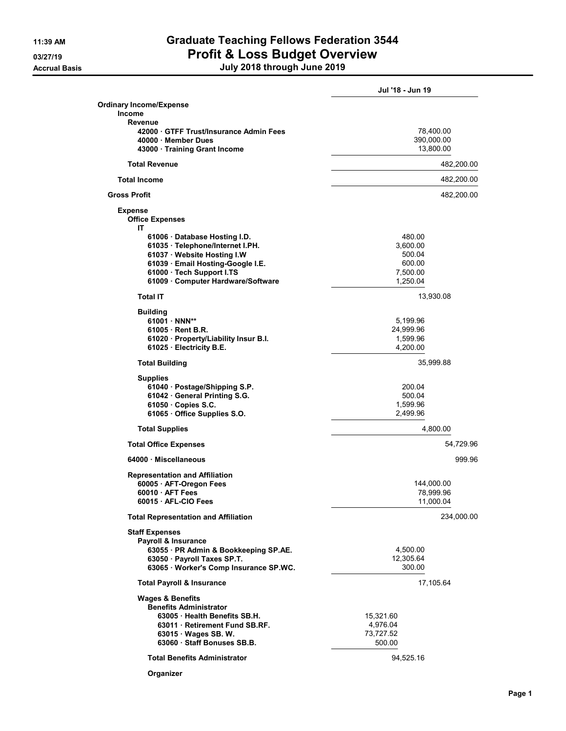## 11:39 AM Graduate Teaching Fellows Federation 3544 03/27/19 **Profit & Loss Budget Overview**

| July 2018 through June 2019 |
|-----------------------------|

|                                                            | Jul '18 - Jun 19   |
|------------------------------------------------------------|--------------------|
| Ordinary Income/Expense                                    |                    |
| <b>Income</b>                                              |                    |
| Revenue                                                    |                    |
| 42000 GTFF Trust/Insurance Admin Fees                      | 78,400.00          |
| 40000 Member Dues                                          | 390,000.00         |
| 43000 · Training Grant Income                              | 13,800.00          |
|                                                            |                    |
| <b>Total Revenue</b>                                       | 482,200.00         |
| <b>Total Income</b>                                        | 482,200.00         |
| <b>Gross Profit</b>                                        | 482,200.00         |
| <b>Expense</b>                                             |                    |
| <b>Office Expenses</b>                                     |                    |
| IΤ                                                         |                    |
| 61006 · Database Hosting I.D.                              | 480.00             |
| 61035 · Telephone/Internet I.PH.                           | 3,600.00           |
| 61037 · Website Hosting I.W                                | 500.04             |
| 61039 · Email Hosting-Google I.E.                          | 600.00             |
| 61000 · Tech Support I.TS                                  | 7,500.00           |
| 61009 Computer Hardware/Software                           | 1.250.04           |
| <b>Total IT</b>                                            | 13,930.08          |
| <b>Building</b>                                            |                    |
| 61001 · NNN**                                              | 5,199.96           |
| 61005 Rent B.R.                                            | 24,999.96          |
| 61020 · Property/Liability Insur B.I.                      | 1,599.96           |
| 61025 · Electricity B.E.                                   | 4,200.00           |
| <b>Total Building</b>                                      | 35,999.88          |
|                                                            |                    |
| <b>Supplies</b>                                            |                    |
| 61040 · Postage/Shipping S.P.                              | 200.04             |
| 61042 · General Printing S.G.<br>$61050 \cdot$ Copies S.C. | 500.04<br>1,599.96 |
| 61065 · Office Supplies S.O.                               | 2,499.96           |
|                                                            |                    |
| <b>Total Supplies</b>                                      | 4,800.00           |
| <b>Total Office Expenses</b>                               | 54,729.96          |
| 64000 Miscellaneous                                        | 999.96             |
| <b>Representation and Affiliation</b>                      |                    |
| 60005 · AFT-Oregon Fees                                    | 144,000.00         |
| $60010 \cdot AFT$ Fees                                     | 78,999.96          |
| 60015 · AFL-CIO Fees                                       | 11,000.04          |
| <b>Total Representation and Affiliation</b>                | 234,000.00         |
| <b>Staff Expenses</b>                                      |                    |
| Payroll & Insurance                                        |                    |
| 63055 · PR Admin & Bookkeeping SP.AE.                      | 4,500.00           |
| 63050 · Payroll Taxes SP.T.                                | 12,305.64          |
| 63065 · Worker's Comp Insurance SP.WC.                     | 300.00             |
| <b>Total Payroll &amp; Insurance</b>                       | 17,105.64          |
|                                                            |                    |
| <b>Wages &amp; Benefits</b>                                |                    |
| <b>Benefits Administrator</b>                              |                    |
| 63005 Health Benefits SB.H.                                | 15,321.60          |
| 63011 Retirement Fund SB.RF.                               | 4,976.04           |
| 63015 · Wages SB. W.                                       | 73,727.52          |
| 63060 Staff Bonuses SB.B.                                  | 500.00             |
| <b>Total Benefits Administrator</b>                        | 94,525.16          |
|                                                            |                    |

Organizer